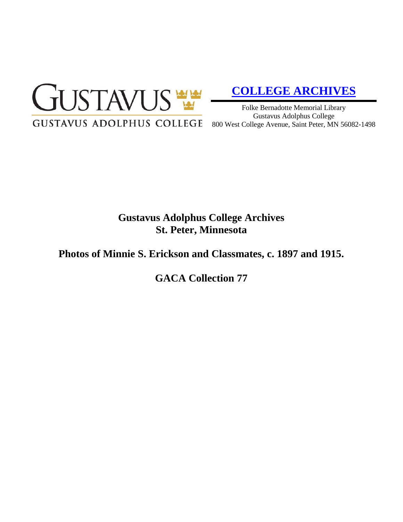

# **[COLLEGE ARCHIVES](http://gustavus.edu/academics/library/archives/)**

Folke Bernadotte Memorial Library Gustavus Adolphus College 800 West College Avenue, Saint Peter, MN 56082-1498

## **Gustavus Adolphus College Archives St. Peter, Minnesota**

### **Photos of Minnie S. Erickson and Classmates, c. 1897 and 1915.**

**GACA Collection 77**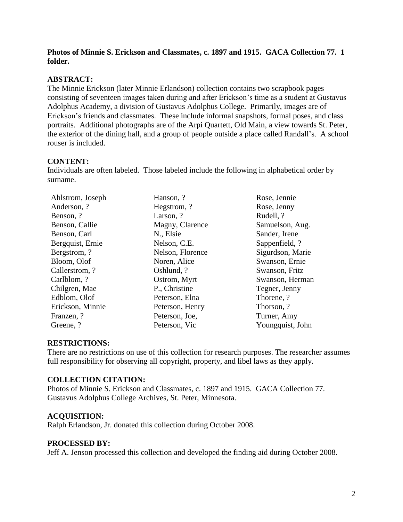#### **Photos of Minnie S. Erickson and Classmates, c. 1897 and 1915. GACA Collection 77. 1 folder.**

#### **ABSTRACT:**

The Minnie Erickson (later Minnie Erlandson) collection contains two scrapbook pages consisting of seventeen images taken during and after Erickson's time as a student at Gustavus Adolphus Academy, a division of Gustavus Adolphus College. Primarily, images are of Erickson's friends and classmates. These include informal snapshots, formal poses, and class portraits. Additional photographs are of the Arpi Quartett, Old Main, a view towards St. Peter, the exterior of the dining hall, and a group of people outside a place called Randall's. A school rouser is included.

#### **CONTENT:**

Individuals are often labeled. Those labeled include the following in alphabetical order by surname.

| Ahlstrom, Joseph | Hanson, ?        | Rose, Jennie     |
|------------------|------------------|------------------|
| Anderson, ?      | Hegstrom, ?      | Rose, Jenny      |
| Benson, ?        | Larson, ?        | Rudell, ?        |
| Benson, Callie   | Magny, Clarence  | Samuelson, Aug.  |
| Benson, Carl     | N., Elsie        | Sander, Irene    |
| Bergquist, Ernie | Nelson, C.E.     | Sappenfield, ?   |
| Bergstrom, ?     | Nelson, Florence | Sigurdson, Marie |
| Bloom, Olof      | Noren, Alice     | Swanson, Ernie   |
| Callerstrom, ?   | Oshlund, ?       | Swanson, Fritz   |
| Carlblom, ?      | Ostrom, Myrt     | Swanson, Herman  |
| Chilgren, Mae    | P., Christine    | Tegner, Jenny    |
| Edblom, Olof     | Peterson, Elna   | Thorene, ?       |
| Erickson, Minnie | Peterson, Henry  | Thorson, ?       |
| Franzen, ?       | Peterson, Joe,   | Turner, Amy      |
| Greene, ?        | Peterson, Vic    | Youngquist, John |

#### **RESTRICTIONS:**

There are no restrictions on use of this collection for research purposes. The researcher assumes full responsibility for observing all copyright, property, and libel laws as they apply.

#### **COLLECTION CITATION:**

Photos of Minnie S. Erickson and Classmates, c. 1897 and 1915. GACA Collection 77. Gustavus Adolphus College Archives, St. Peter, Minnesota.

#### **ACQUISITION:**

Ralph Erlandson, Jr. donated this collection during October 2008.

#### **PROCESSED BY:**

Jeff A. Jenson processed this collection and developed the finding aid during October 2008.